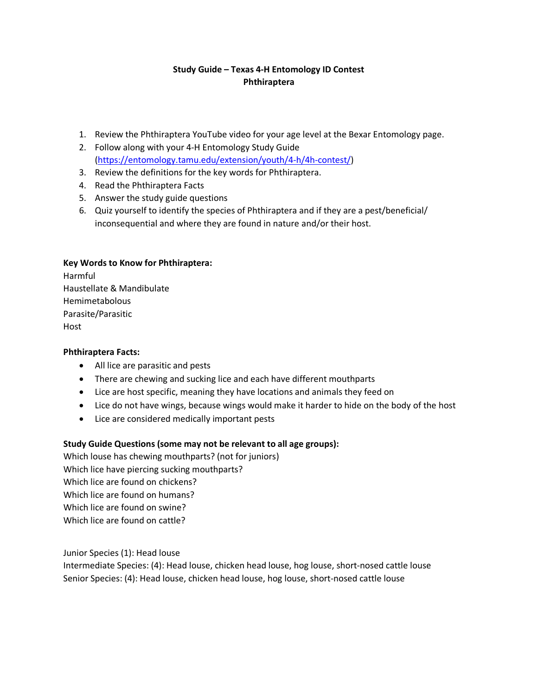# **Study Guide – Texas 4-H Entomology ID Contest Phthiraptera**

- 1. Review the Phthiraptera YouTube video for your age level at the Bexar Entomology page.
- 2. Follow along with your 4-H Entomology Study Guide [\(https://entomology.tamu.edu/extension/youth/4-h/4h-contest/\)](https://entomology.tamu.edu/extension/youth/4-h/4h-contest/)
- 3. Review the definitions for the key words for Phthiraptera.
- 4. Read the Phthiraptera Facts
- 5. Answer the study guide questions
- 6. Quiz yourself to identify the species of Phthiraptera and if they are a pest/beneficial/ inconsequential and where they are found in nature and/or their host.

## **Key Words to Know for Phthiraptera:**

Harmful Haustellate & Mandibulate Hemimetabolous Parasite/Parasitic Host

## **Phthiraptera Facts:**

- All lice are parasitic and pests
- There are chewing and sucking lice and each have different mouthparts
- Lice are host specific, meaning they have locations and animals they feed on
- Lice do not have wings, because wings would make it harder to hide on the body of the host
- Lice are considered medically important pests

## **Study Guide Questions (some may not be relevant to all age groups):**

Which louse has chewing mouthparts? (not for juniors) Which lice have piercing sucking mouthparts? Which lice are found on chickens? Which lice are found on humans? Which lice are found on swine? Which lice are found on cattle?

Junior Species (1): Head louse Intermediate Species: (4): Head louse, chicken head louse, hog louse, short-nosed cattle louse

Senior Species: (4): Head louse, chicken head louse, hog louse, short-nosed cattle louse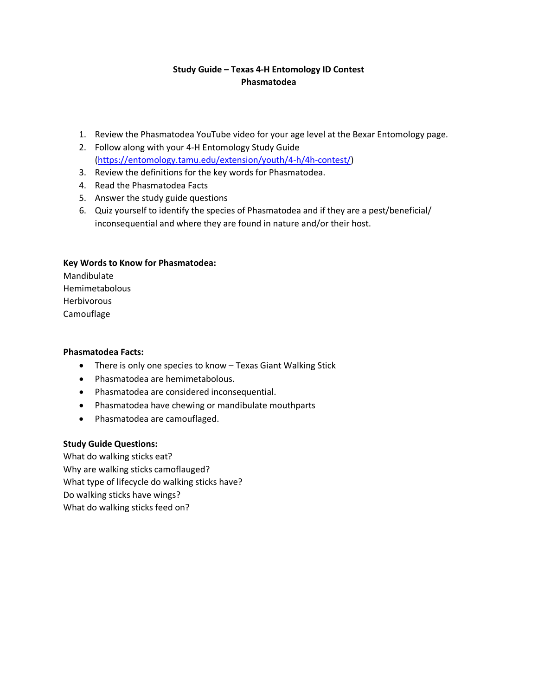# **Study Guide – Texas 4-H Entomology ID Contest Phasmatodea**

- 1. Review the Phasmatodea YouTube video for your age level at the Bexar Entomology page.
- 2. Follow along with your 4-H Entomology Study Guide [\(https://entomology.tamu.edu/extension/youth/4-h/4h-contest/\)](https://entomology.tamu.edu/extension/youth/4-h/4h-contest/)
- 3. Review the definitions for the key words for Phasmatodea.
- 4. Read the Phasmatodea Facts
- 5. Answer the study guide questions
- 6. Quiz yourself to identify the species of Phasmatodea and if they are a pest/beneficial/ inconsequential and where they are found in nature and/or their host.

## **Key Words to Know for Phasmatodea:**

Mandibulate Hemimetabolous Herbivorous Camouflage

## **Phasmatodea Facts:**

- There is only one species to know Texas Giant Walking Stick
- Phasmatodea are hemimetabolous.
- Phasmatodea are considered inconsequential.
- Phasmatodea have chewing or mandibulate mouthparts
- Phasmatodea are camouflaged.

## **Study Guide Questions:**

What do walking sticks eat? Why are walking sticks camoflauged? What type of lifecycle do walking sticks have? Do walking sticks have wings? What do walking sticks feed on?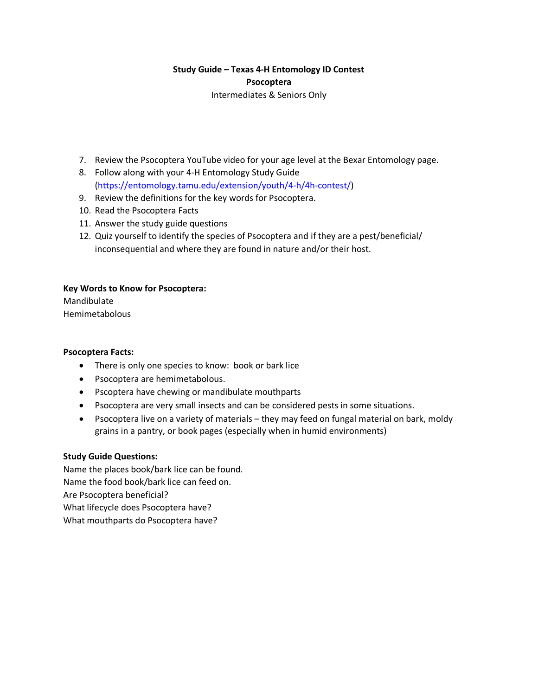# **Study Guide – Texas 4-H Entomology ID Contest Psocoptera** Intermediates & Seniors Only

- 7. Review the Psocoptera YouTube video for your age level at the Bexar Entomology page.
- 8. Follow along with your 4-H Entomology Study Guide [\(https://entomology.tamu.edu/extension/youth/4-h/4h-contest/\)](https://entomology.tamu.edu/extension/youth/4-h/4h-contest/)
- 9. Review the definitions for the key words for Psocoptera.
- 10. Read the Psocoptera Facts
- 11. Answer the study guide questions
- 12. Quiz yourself to identify the species of Psocoptera and if they are a pest/beneficial/ inconsequential and where they are found in nature and/or their host.

# **Key Words to Know for Psocoptera:**

Mandibulate Hemimetabolous

## **Psocoptera Facts:**

- There is only one species to know: book or bark lice
- Psocoptera are hemimetabolous.
- Pscoptera have chewing or mandibulate mouthparts
- Psocoptera are very small insects and can be considered pests in some situations.
- Psocoptera live on a variety of materials they may feed on fungal material on bark, moldy grains in a pantry, or book pages (especially when in humid environments)

## **Study Guide Questions:**

Name the places book/bark lice can be found. Name the food book/bark lice can feed on. Are Psocoptera beneficial? What lifecycle does Psocoptera have? What mouthparts do Psocoptera have?